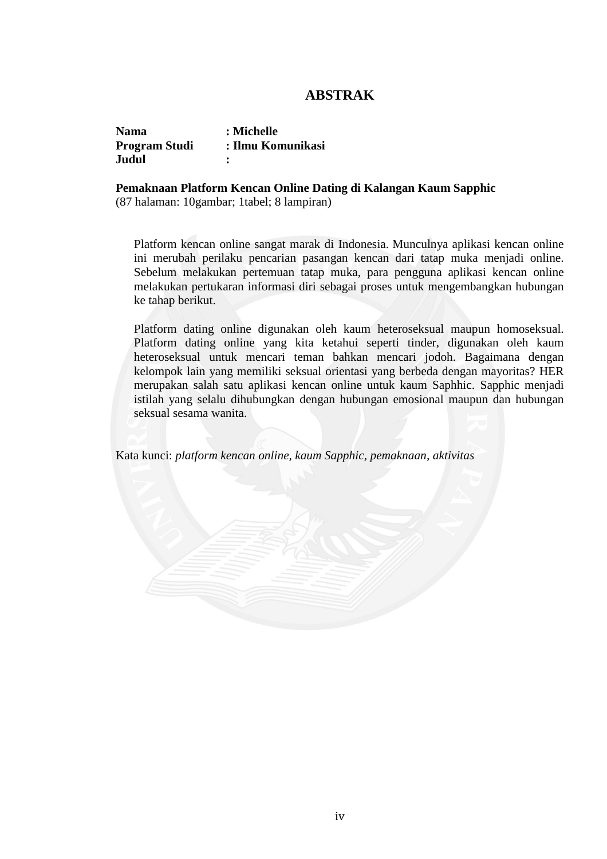## **ABSTRAK**

| <b>Nama</b>          | : Michelle        |
|----------------------|-------------------|
| <b>Program Studi</b> | : Ilmu Komunikasi |
| Judul                |                   |

## **Pemaknaan Platform Kencan Online Dating di Kalangan Kaum Sapphic**

(87 halaman: 10gambar; 1tabel; 8 lampiran)

Platform kencan online sangat marak di Indonesia. Munculnya aplikasi kencan online ini merubah perilaku pencarian pasangan kencan dari tatap muka menjadi online. Sebelum melakukan pertemuan tatap muka, para pengguna aplikasi kencan online melakukan pertukaran informasi diri sebagai proses untuk mengembangkan hubungan ke tahap berikut.

Platform dating online digunakan oleh kaum heteroseksual maupun homoseksual. Platform dating online yang kita ketahui seperti tinder, digunakan oleh kaum heteroseksual untuk mencari teman bahkan mencari jodoh. Bagaimana dengan kelompok lain yang memiliki seksual orientasi yang berbeda dengan mayoritas? HER merupakan salah satu aplikasi kencan online untuk kaum Saphhic. Sapphic menjadi istilah yang selalu dihubungkan dengan hubungan emosional maupun dan hubungan seksual sesama wanita.

Kata kunci: *platform kencan online, kaum Sapphic, pemaknaan, aktivitas*